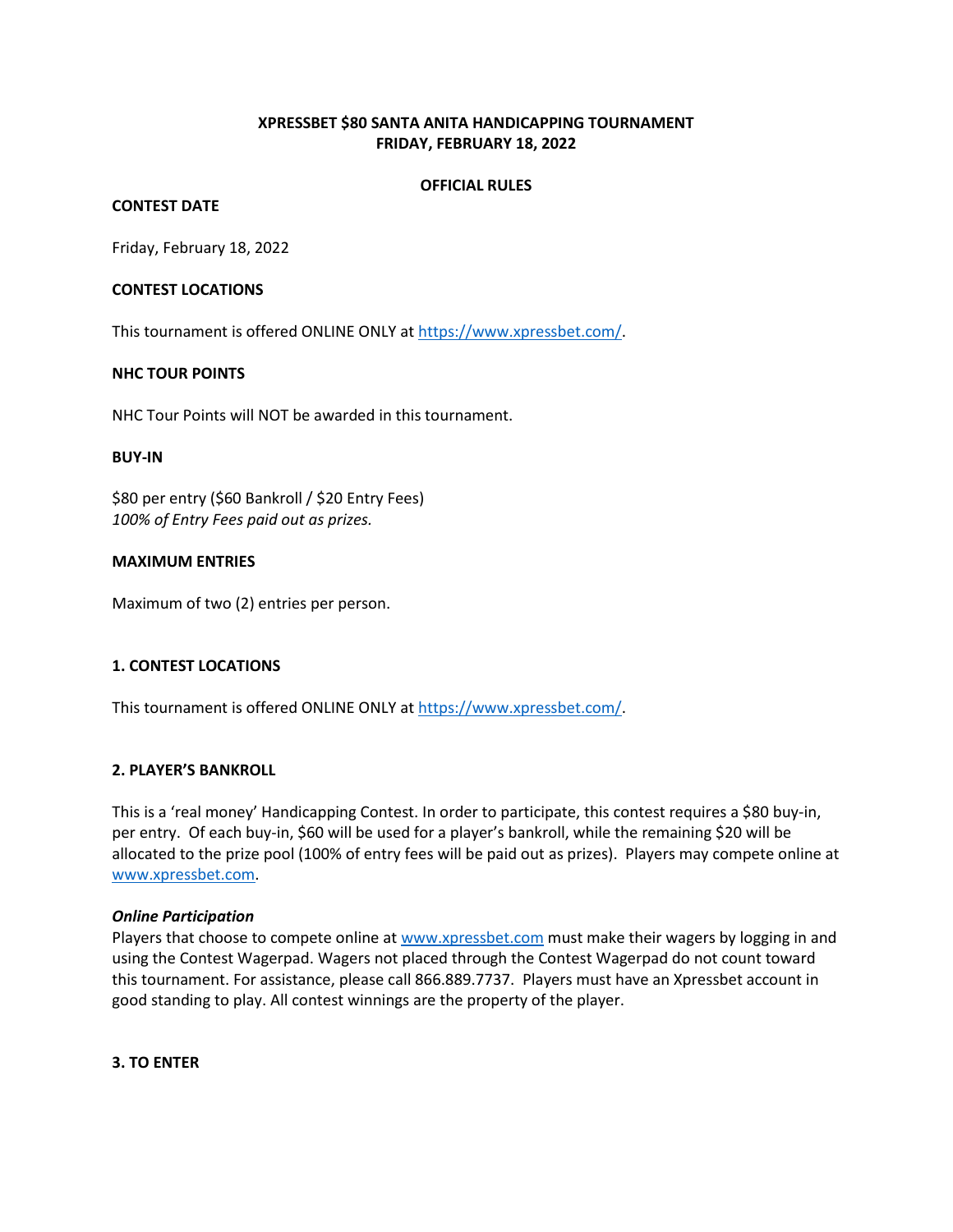# **XPRESSBET \$80 SANTA ANITA HANDICAPPING TOURNAMENT FRIDAY, FEBRUARY 18, 2022**

## **OFFICIAL RULES**

## **CONTEST DATE**

Friday, February 18, 2022

## **CONTEST LOCATIONS**

This tournament is offered ONLINE ONLY a[t https://www.xpressbet.com/.](https://www.xpressbet.com/)

## **NHC TOUR POINTS**

NHC Tour Points will NOT be awarded in this tournament.

#### **BUY-IN**

\$80 per entry (\$60 Bankroll / \$20 Entry Fees) *100% of Entry Fees paid out as prizes.* 

## **MAXIMUM ENTRIES**

Maximum of two (2) entries per person.

## **1. CONTEST LOCATIONS**

This tournament is offered ONLINE ONLY a[t https://www.xpressbet.com/.](https://www.xpressbet.com/)

## **2. PLAYER'S BANKROLL**

This is a 'real money' Handicapping Contest. In order to participate, this contest requires a \$80 buy-in, per entry. Of each buy-in, \$60 will be used for a player's bankroll, while the remaining \$20 will be allocated to the prize pool (100% of entry fees will be paid out as prizes). Players may compete online at [www.xpressbet.com.](http://www.xpressbet.com/)

#### *Online Participation*

Players that choose to compete online a[t www.xpressbet.com](http://www.xpressbet.com/) must make their wagers by logging in and using the Contest Wagerpad. Wagers not placed through the Contest Wagerpad do not count toward this tournament. For assistance, please call 866.889.7737. Players must have an Xpressbet account in good standing to play. All contest winnings are the property of the player.

#### **3. TO ENTER**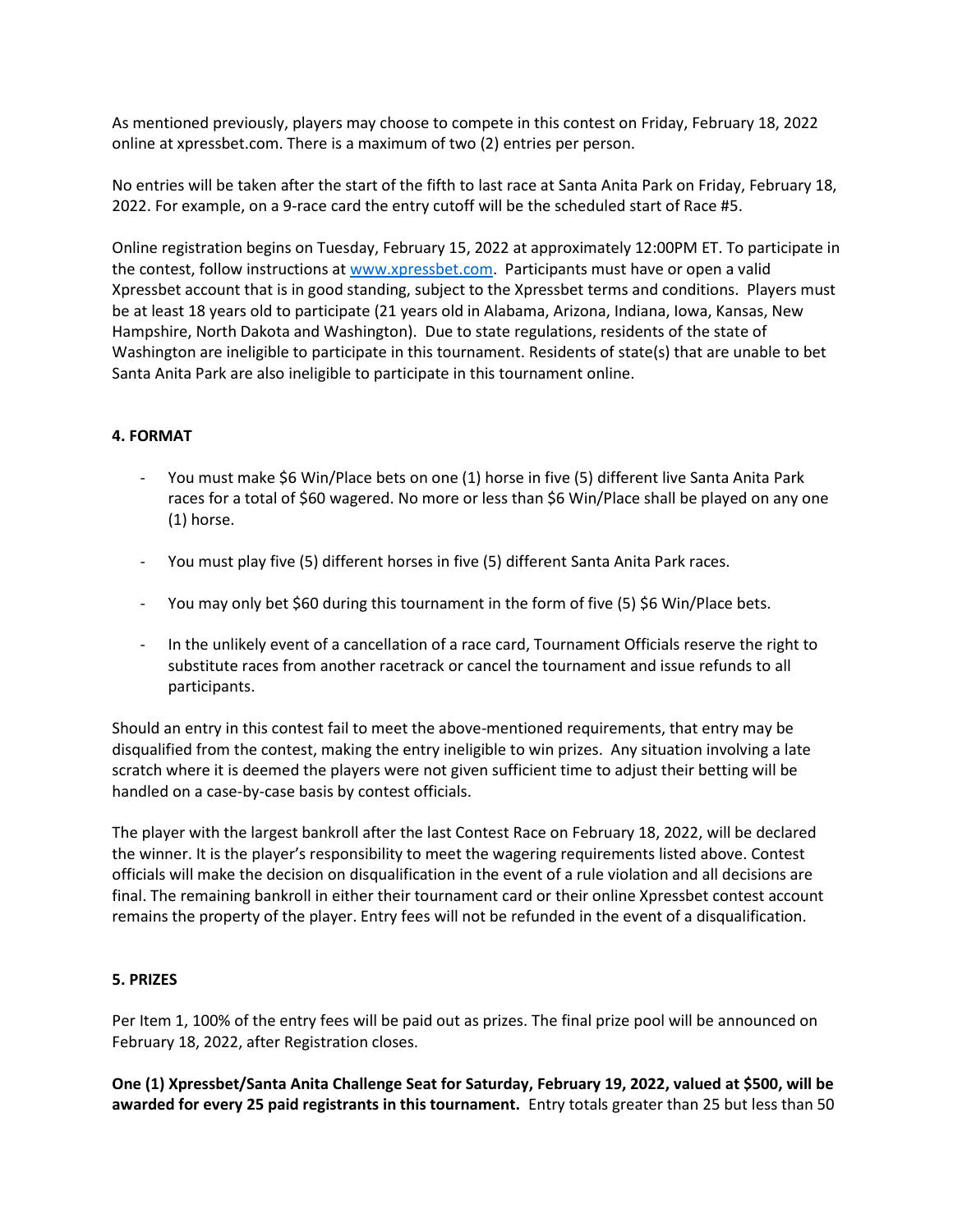As mentioned previously, players may choose to compete in this contest on Friday, February 18, 2022 online at xpressbet.com. There is a maximum of two (2) entries per person.

No entries will be taken after the start of the fifth to last race at Santa Anita Park on Friday, February 18, 2022. For example, on a 9-race card the entry cutoff will be the scheduled start of Race #5.

Online registration begins on Tuesday, February 15, 2022 at approximately 12:00PM ET. To participate in the contest, follow instructions at [www.xpressbet.com.](http://www.xpressbet.com/) Participants must have or open a valid Xpressbet account that is in good standing, subject to the Xpressbet terms and conditions. Players must be at least 18 years old to participate (21 years old in Alabama, Arizona, Indiana, Iowa, Kansas, New Hampshire, North Dakota and Washington). Due to state regulations, residents of the state of Washington are ineligible to participate in this tournament. Residents of state(s) that are unable to bet Santa Anita Park are also ineligible to participate in this tournament online.

# **4. FORMAT**

- You must make \$6 Win/Place bets on one (1) horse in five (5) different live Santa Anita Park races for a total of \$60 wagered. No more or less than \$6 Win/Place shall be played on any one (1) horse.
- You must play five (5) different horses in five (5) different Santa Anita Park races.
- You may only bet \$60 during this tournament in the form of five (5) \$6 Win/Place bets.
- In the unlikely event of a cancellation of a race card, Tournament Officials reserve the right to substitute races from another racetrack or cancel the tournament and issue refunds to all participants.

Should an entry in this contest fail to meet the above-mentioned requirements, that entry may be disqualified from the contest, making the entry ineligible to win prizes. Any situation involving a late scratch where it is deemed the players were not given sufficient time to adjust their betting will be handled on a case-by-case basis by contest officials.

The player with the largest bankroll after the last Contest Race on February 18, 2022, will be declared the winner. It is the player's responsibility to meet the wagering requirements listed above. Contest officials will make the decision on disqualification in the event of a rule violation and all decisions are final. The remaining bankroll in either their tournament card or their online Xpressbet contest account remains the property of the player. Entry fees will not be refunded in the event of a disqualification.

## **5. PRIZES**

Per Item 1, 100% of the entry fees will be paid out as prizes. The final prize pool will be announced on February 18, 2022, after Registration closes.

**One (1) Xpressbet/Santa Anita Challenge Seat for Saturday, February 19, 2022, valued at \$500, will be awarded for every 25 paid registrants in this tournament.** Entry totals greater than 25 but less than 50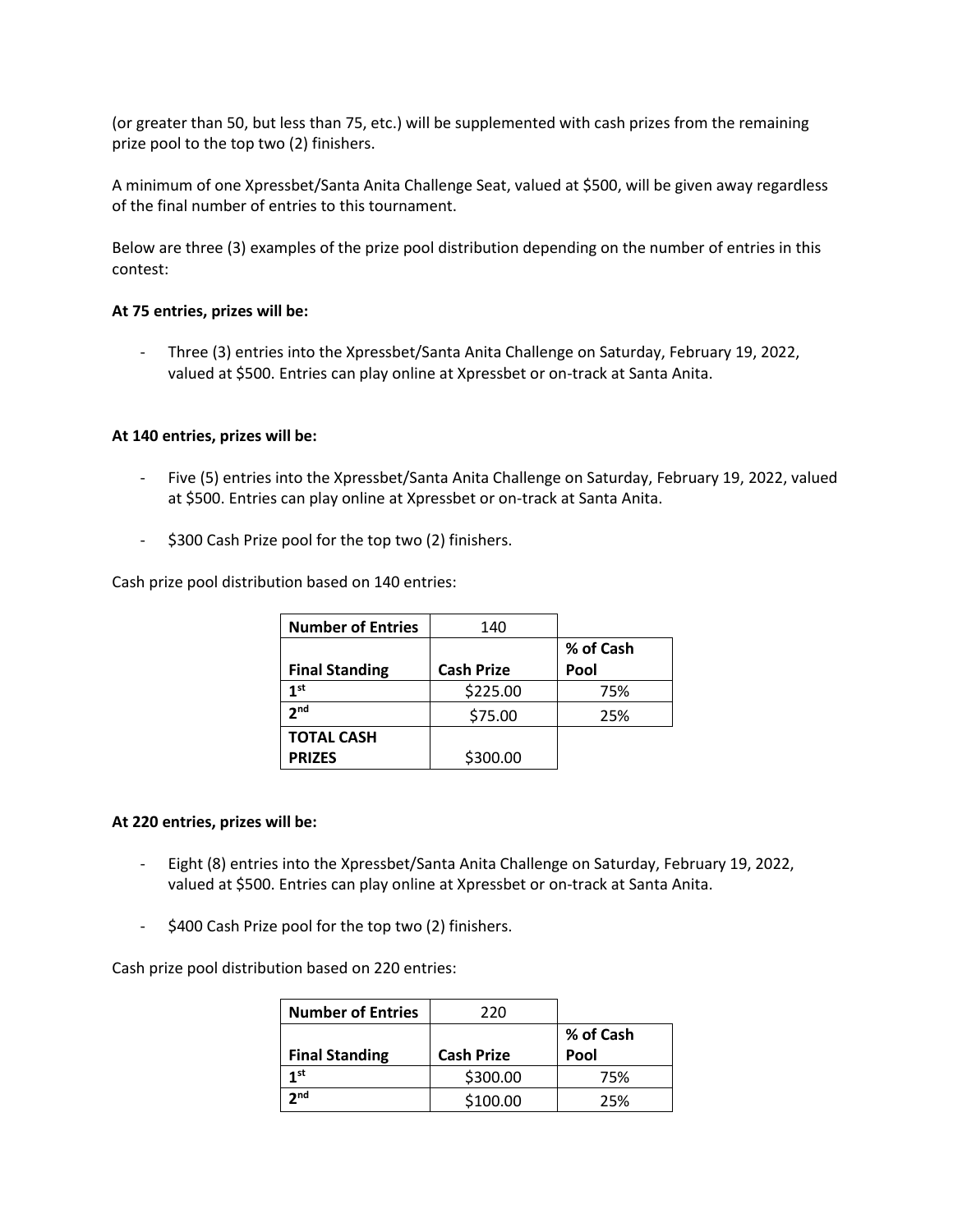(or greater than 50, but less than 75, etc.) will be supplemented with cash prizes from the remaining prize pool to the top two (2) finishers.

A minimum of one Xpressbet/Santa Anita Challenge Seat, valued at \$500, will be given away regardless of the final number of entries to this tournament.

Below are three (3) examples of the prize pool distribution depending on the number of entries in this contest:

## **At 75 entries, prizes will be:**

- Three (3) entries into the Xpressbet/Santa Anita Challenge on Saturday, February 19, 2022, valued at \$500. Entries can play online at Xpressbet or on-track at Santa Anita.

## **At 140 entries, prizes will be:**

- Five (5) entries into the Xpressbet/Santa Anita Challenge on Saturday, February 19, 2022, valued at \$500. Entries can play online at Xpressbet or on-track at Santa Anita.
- \$300 Cash Prize pool for the top two (2) finishers.

Cash prize pool distribution based on 140 entries:

| <b>Number of Entries</b> | 140               |           |
|--------------------------|-------------------|-----------|
|                          |                   | % of Cash |
| <b>Final Standing</b>    | <b>Cash Prize</b> | Pool      |
| 1 <sup>st</sup>          | \$225.00          | 75%       |
| 2 <sub>nd</sub>          | \$75.00           | 25%       |
| <b>TOTAL CASH</b>        |                   |           |
| <b>PRIZES</b>            | \$300.00          |           |

#### **At 220 entries, prizes will be:**

- Eight (8) entries into the Xpressbet/Santa Anita Challenge on Saturday, February 19, 2022, valued at \$500. Entries can play online at Xpressbet or on-track at Santa Anita.
- \$400 Cash Prize pool for the top two (2) finishers.

Cash prize pool distribution based on 220 entries:

| <b>Number of Entries</b> | 220               |           |
|--------------------------|-------------------|-----------|
|                          |                   | % of Cash |
| <b>Final Standing</b>    | <b>Cash Prize</b> | Pool      |
| 1st                      | \$300.00          | 75%       |
| 2 <sub>nd</sub>          | \$100.00          | 25%       |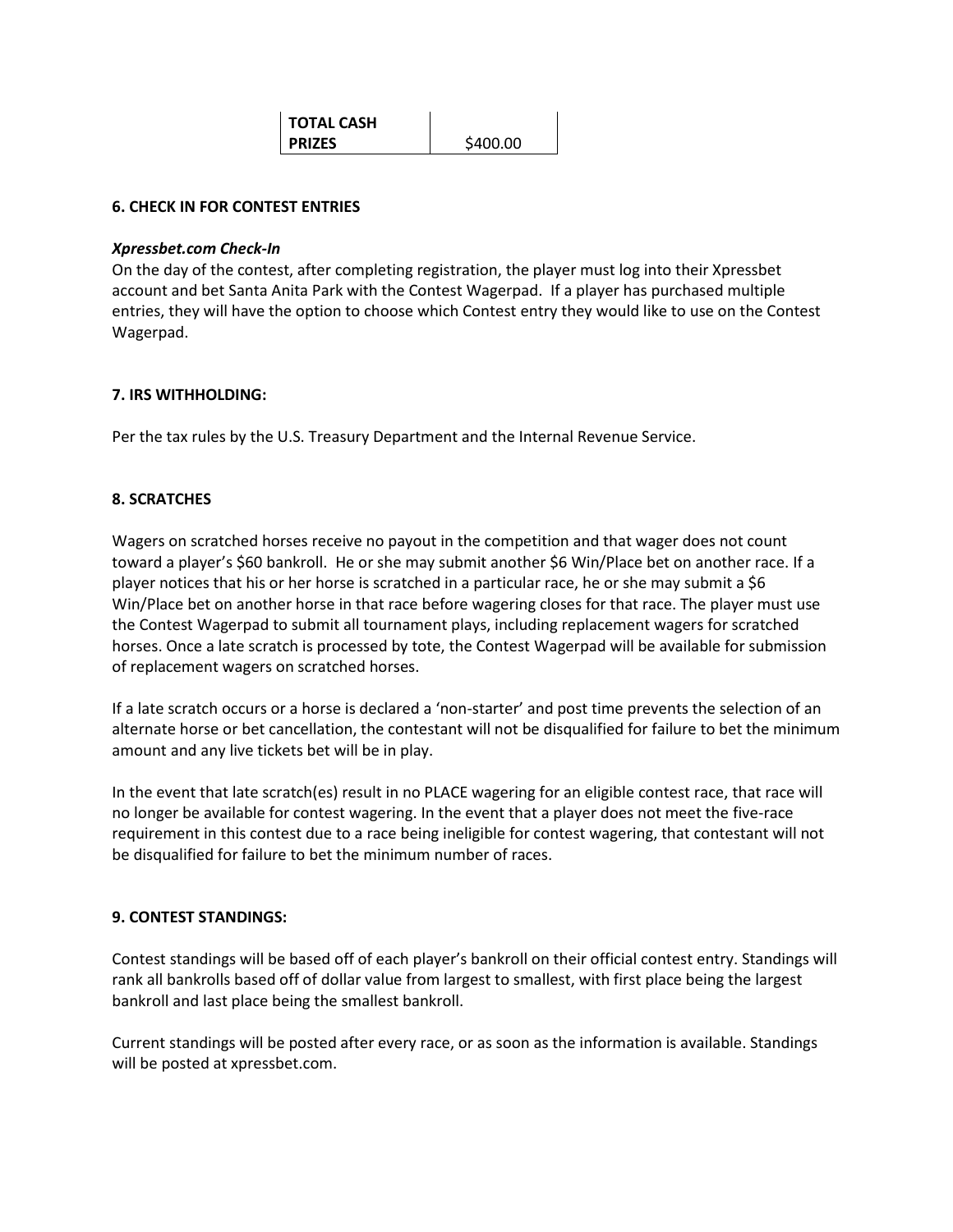**TOTAL CASH PRIZES** | \$400.00

## **6. CHECK IN FOR CONTEST ENTRIES**

#### *Xpressbet.com Check-In*

On the day of the contest, after completing registration, the player must log into their Xpressbet account and bet Santa Anita Park with the Contest Wagerpad. If a player has purchased multiple entries, they will have the option to choose which Contest entry they would like to use on the Contest Wagerpad.

## **7. IRS WITHHOLDING:**

Per the tax rules by the U.S. Treasury Department and the Internal Revenue Service.

## **8. SCRATCHES**

Wagers on scratched horses receive no payout in the competition and that wager does not count toward a player's \$60 bankroll. He or she may submit another \$6 Win/Place bet on another race. If a player notices that his or her horse is scratched in a particular race, he or she may submit a \$6 Win/Place bet on another horse in that race before wagering closes for that race. The player must use the Contest Wagerpad to submit all tournament plays, including replacement wagers for scratched horses. Once a late scratch is processed by tote, the Contest Wagerpad will be available for submission of replacement wagers on scratched horses.

If a late scratch occurs or a horse is declared a 'non-starter' and post time prevents the selection of an alternate horse or bet cancellation, the contestant will not be disqualified for failure to bet the minimum amount and any live tickets bet will be in play.

In the event that late scratch(es) result in no PLACE wagering for an eligible contest race, that race will no longer be available for contest wagering. In the event that a player does not meet the five-race requirement in this contest due to a race being ineligible for contest wagering, that contestant will not be disqualified for failure to bet the minimum number of races.

#### **9. CONTEST STANDINGS:**

Contest standings will be based off of each player's bankroll on their official contest entry. Standings will rank all bankrolls based off of dollar value from largest to smallest, with first place being the largest bankroll and last place being the smallest bankroll.

Current standings will be posted after every race, or as soon as the information is available. Standings will be posted at xpressbet.com.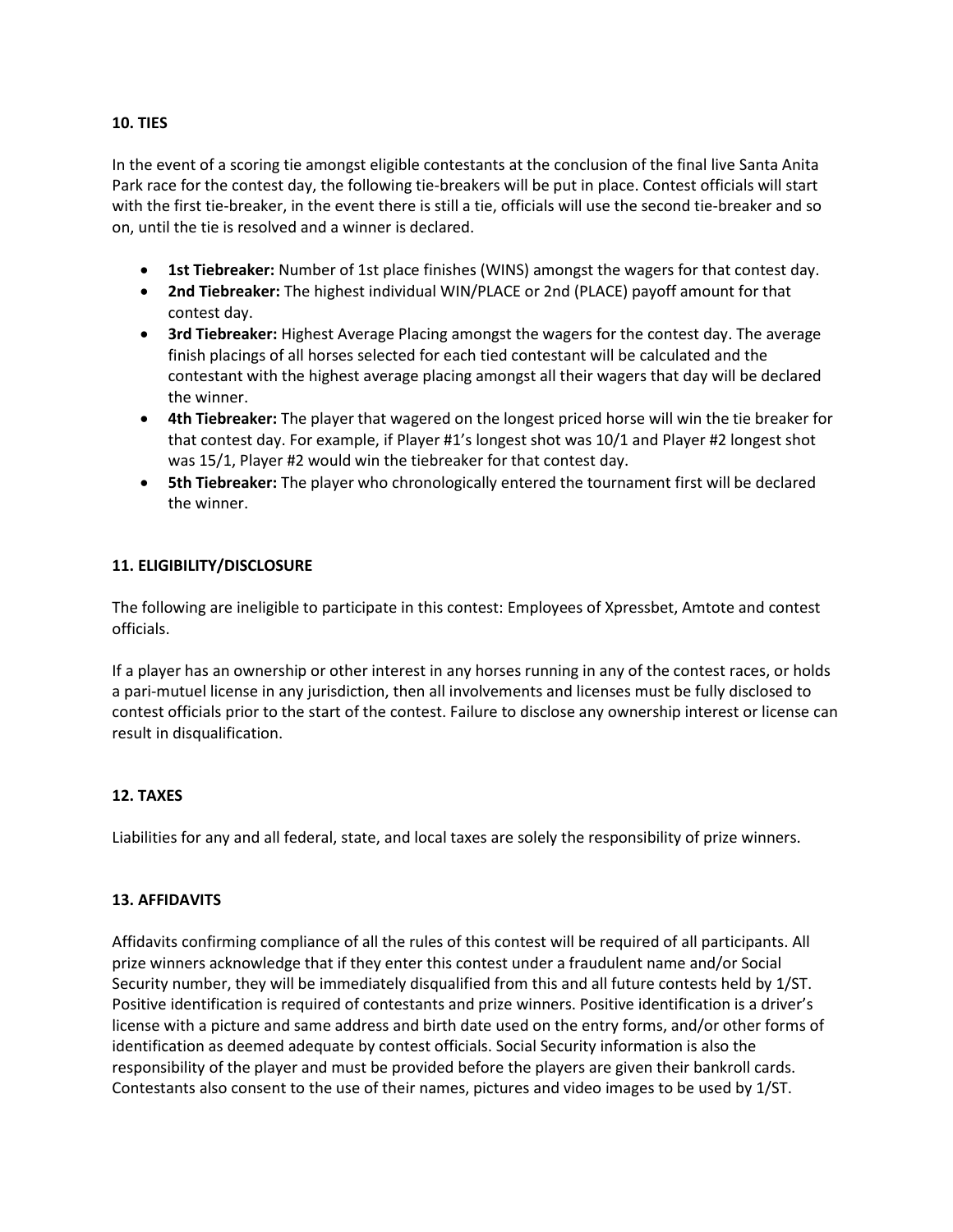## **10. TIES**

In the event of a scoring tie amongst eligible contestants at the conclusion of the final live Santa Anita Park race for the contest day, the following tie-breakers will be put in place. Contest officials will start with the first tie-breaker, in the event there is still a tie, officials will use the second tie-breaker and so on, until the tie is resolved and a winner is declared.

- **1st Tiebreaker:** Number of 1st place finishes (WINS) amongst the wagers for that contest day.
- **2nd Tiebreaker:** The highest individual WIN/PLACE or 2nd (PLACE) payoff amount for that contest day.
- **3rd Tiebreaker:** Highest Average Placing amongst the wagers for the contest day. The average finish placings of all horses selected for each tied contestant will be calculated and the contestant with the highest average placing amongst all their wagers that day will be declared the winner.
- **4th Tiebreaker:** The player that wagered on the longest priced horse will win the tie breaker for that contest day. For example, if Player #1's longest shot was 10/1 and Player #2 longest shot was 15/1, Player #2 would win the tiebreaker for that contest day.
- **5th Tiebreaker:** The player who chronologically entered the tournament first will be declared the winner.

# **11. ELIGIBILITY/DISCLOSURE**

The following are ineligible to participate in this contest: Employees of Xpressbet, Amtote and contest officials.

If a player has an ownership or other interest in any horses running in any of the contest races, or holds a pari-mutuel license in any jurisdiction, then all involvements and licenses must be fully disclosed to contest officials prior to the start of the contest. Failure to disclose any ownership interest or license can result in disqualification.

## **12. TAXES**

Liabilities for any and all federal, state, and local taxes are solely the responsibility of prize winners.

## **13. AFFIDAVITS**

Affidavits confirming compliance of all the rules of this contest will be required of all participants. All prize winners acknowledge that if they enter this contest under a fraudulent name and/or Social Security number, they will be immediately disqualified from this and all future contests held by 1/ST. Positive identification is required of contestants and prize winners. Positive identification is a driver's license with a picture and same address and birth date used on the entry forms, and/or other forms of identification as deemed adequate by contest officials. Social Security information is also the responsibility of the player and must be provided before the players are given their bankroll cards. Contestants also consent to the use of their names, pictures and video images to be used by 1/ST.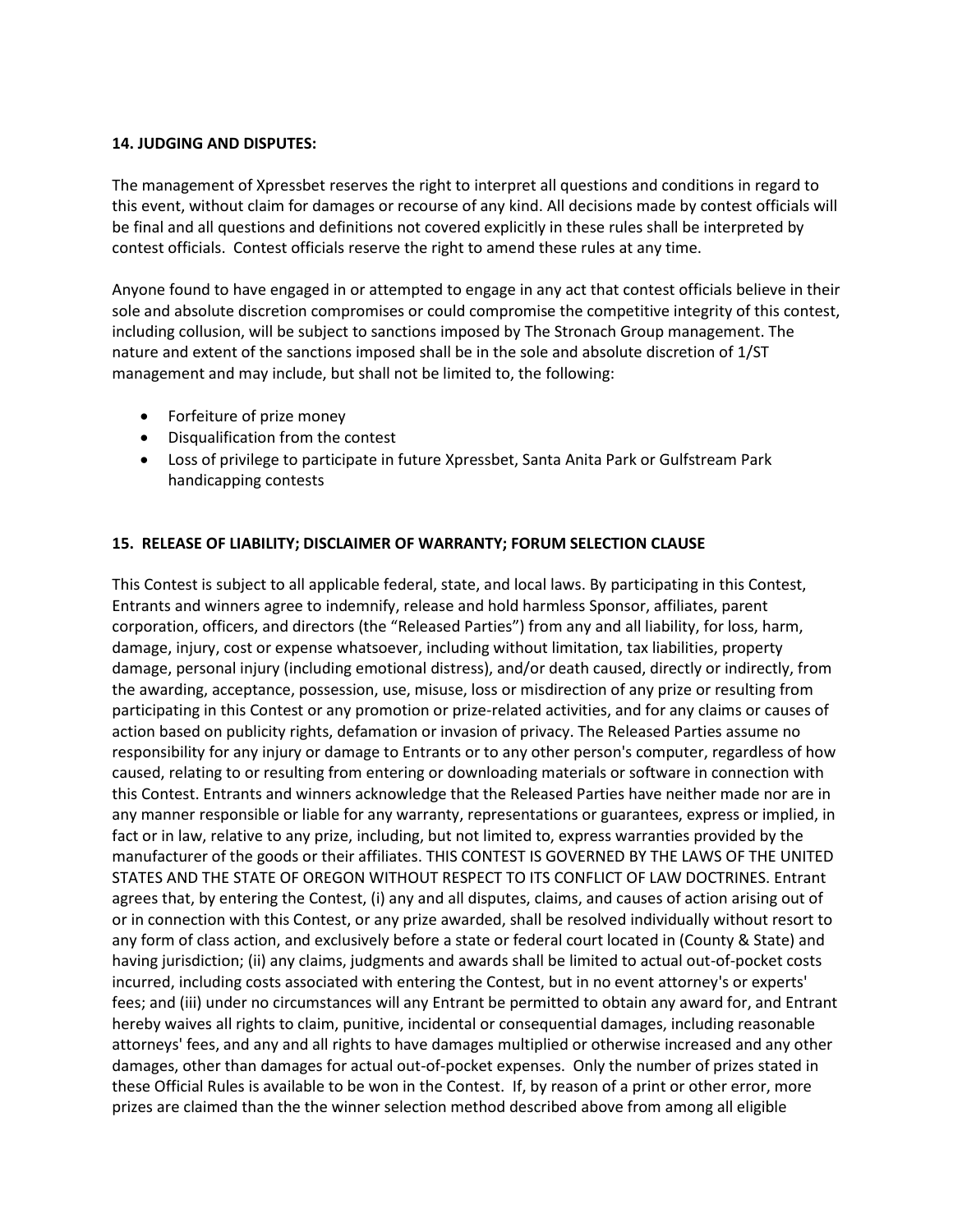## **14. JUDGING AND DISPUTES:**

The management of Xpressbet reserves the right to interpret all questions and conditions in regard to this event, without claim for damages or recourse of any kind. All decisions made by contest officials will be final and all questions and definitions not covered explicitly in these rules shall be interpreted by contest officials. Contest officials reserve the right to amend these rules at any time.

Anyone found to have engaged in or attempted to engage in any act that contest officials believe in their sole and absolute discretion compromises or could compromise the competitive integrity of this contest, including collusion, will be subject to sanctions imposed by The Stronach Group management. The nature and extent of the sanctions imposed shall be in the sole and absolute discretion of 1/ST management and may include, but shall not be limited to, the following:

- Forfeiture of prize money
- Disqualification from the contest
- Loss of privilege to participate in future Xpressbet, Santa Anita Park or Gulfstream Park handicapping contests

## **15. RELEASE OF LIABILITY; DISCLAIMER OF WARRANTY; FORUM SELECTION CLAUSE**

This Contest is subject to all applicable federal, state, and local laws. By participating in this Contest, Entrants and winners agree to indemnify, release and hold harmless Sponsor, affiliates, parent corporation, officers, and directors (the "Released Parties") from any and all liability, for loss, harm, damage, injury, cost or expense whatsoever, including without limitation, tax liabilities, property damage, personal injury (including emotional distress), and/or death caused, directly or indirectly, from the awarding, acceptance, possession, use, misuse, loss or misdirection of any prize or resulting from participating in this Contest or any promotion or prize-related activities, and for any claims or causes of action based on publicity rights, defamation or invasion of privacy. The Released Parties assume no responsibility for any injury or damage to Entrants or to any other person's computer, regardless of how caused, relating to or resulting from entering or downloading materials or software in connection with this Contest. Entrants and winners acknowledge that the Released Parties have neither made nor are in any manner responsible or liable for any warranty, representations or guarantees, express or implied, in fact or in law, relative to any prize, including, but not limited to, express warranties provided by the manufacturer of the goods or their affiliates. THIS CONTEST IS GOVERNED BY THE LAWS OF THE UNITED STATES AND THE STATE OF OREGON WITHOUT RESPECT TO ITS CONFLICT OF LAW DOCTRINES. Entrant agrees that, by entering the Contest, (i) any and all disputes, claims, and causes of action arising out of or in connection with this Contest, or any prize awarded, shall be resolved individually without resort to any form of class action, and exclusively before a state or federal court located in (County & State) and having jurisdiction; (ii) any claims, judgments and awards shall be limited to actual out-of-pocket costs incurred, including costs associated with entering the Contest, but in no event attorney's or experts' fees; and (iii) under no circumstances will any Entrant be permitted to obtain any award for, and Entrant hereby waives all rights to claim, punitive, incidental or consequential damages, including reasonable attorneys' fees, and any and all rights to have damages multiplied or otherwise increased and any other damages, other than damages for actual out-of-pocket expenses. Only the number of prizes stated in these Official Rules is available to be won in the Contest. If, by reason of a print or other error, more prizes are claimed than the the winner selection method described above from among all eligible